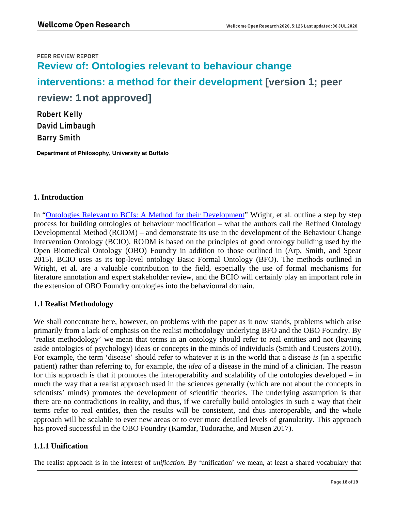# PEER REVIEW REPORT **Review of: Ontologies relevant to behaviour change interventions: a method for their development [version 1; peer review: 1 not approved]** Robert Kelly

David Limbaugh Barry Smith

 **Department of Philosophy, University at Buffalo** 

## **1. Introduction**

In "Ontologies Relevant to BCIs: A Method for their Development" Wright, et al. outline a step by step process for building ontologies of behaviour modification – what the authors call the Refined Ontology Developmental Method (RODM) – and demonstrate its use in the development of the Behaviour Change Intervention Ontology (BCIO). RODM is based on the principles of good ontology building used by the Open Biomedical Ontology (OBO) Foundry in addition to those outlined in (Arp, Smith, and Spear 2015). BCIO uses as its top-level ontology Basic Formal Ontology (BFO). The methods outlined in Wright, et al. are a valuable contribution to the field, especially the use of formal mechanisms for literature annotation and expert stakeholder review, and the BCIO will certainly play an important role in the extension of OBO Foundry ontologies into the behavioural domain.

# **1.1 Realist Methodology**

We shall concentrate here, however, on problems with the paper as it now stands, problems which arise primarily from a lack of emphasis on the realist methodology underlying BFO and the OBO Foundry. By 'realist methodology' we mean that terms in an ontology should refer to real entities and not (leaving aside ontologies of psychology) ideas or concepts in the minds of individuals (Smith and Ceusters 2010). For example, the term 'disease' should refer to whatever it is in the world that a disease *is* (in a specific patient) rather than referring to, for example, the *idea* of a disease in the mind of a clinician. The reason for this approach is that it promotes the interoperability and scalability of the ontologies developed – in much the way that a realist approach used in the sciences generally (which are not about the concepts in scientists' minds) promotes the development of scientific theories. The underlying assumption is that there are no contradictions in reality, and thus, if we carefully build ontologies in such a way that their terms refer to real entitles, then the results will be consistent, and thus interoperable, and the whole approach will be scalable to ever new areas or to ever more detailed levels of granularity. This approach has proved successful in the OBO Foundry (Kamdar, Tudorache, and Musen 2017).

# **1.1.1 Unification**

The realist approach is in the interest of *unification.* By 'unification' we mean, at least a shared vocabulary that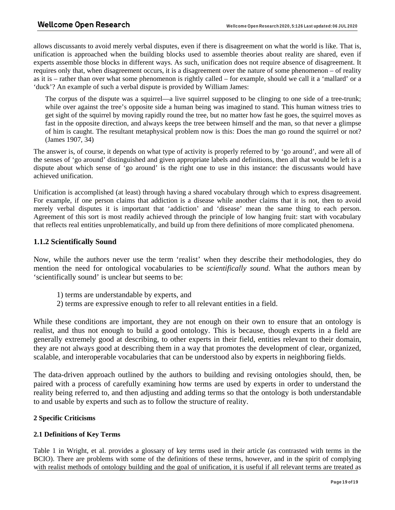allows discussants to avoid merely verbal disputes, even if there is disagreement on what the world is like. That is, unification is approached when the building blocks used to assemble theories about reality are shared, even if experts assemble those blocks in different ways. As such, unification does not require absence of disagreement. It requires only that, when disagreement occurs, it is a disagreement over the nature of some phenomenon – of reality as it is – rather than over what some phenomenon is rightly called – for example, should we call it a 'mallard' or a 'duck'? An example of such a verbal dispute is provided by William James:

The corpus of the dispute was a squirrel—a live squirrel supposed to be clinging to one side of a tree-trunk; while over against the tree's opposite side a human being was imagined to stand. This human witness tries to get sight of the squirrel by moving rapidly round the tree, but no matter how fast he goes, the squirrel moves as fast in the opposite direction, and always keeps the tree between himself and the man, so that never a glimpse of him is caught. The resultant metaphysical problem now is this: Does the man go round the squirrel or not? (James 1907, 34)

The answer is, of course, it depends on what type of activity is properly referred to by 'go around', and were all of the senses of 'go around' distinguished and given appropriate labels and definitions, then all that would be left is a dispute about which sense of 'go around' is the right one to use in this instance: the discussants would have achieved unification.

Unification is accomplished (at least) through having a shared vocabulary through which to express disagreement. For example, if one person claims that addiction is a disease while another claims that it is not, then to avoid merely verbal disputes it is important that 'addiction' and 'disease' mean the same thing to each person. Agreement of this sort is most readily achieved through the principle of low hanging fruit: start with vocabulary that reflects real entities unproblematically, and build up from there definitions of more complicated phenomena.

## **1.1.2 Scientifically Sound**

Now, while the authors never use the term 'realist' when they describe their methodologies, they do mention the need for ontological vocabularies to be *scientifically sound*. What the authors mean by 'scientifically sound' is unclear but seems to be:

- 1) terms are understandable by experts, and
- 2) terms are expressive enough to refer to all relevant entities in a field.

While these conditions are important, they are not enough on their own to ensure that an ontology is realist, and thus not enough to build a good ontology. This is because, though experts in a field are generally extremely good at describing, to other experts in their field, entities relevant to their domain, they are not always good at describing them in a way that promotes the development of clear, organized, scalable, and interoperable vocabularies that can be understood also by experts in neighboring fields.

The data-driven approach outlined by the authors to building and revising ontologies should, then, be paired with a process of carefully examining how terms are used by experts in order to understand the reality being referred to, and then adjusting and adding terms so that the ontology is both understandable to and usable by experts and such as to follow the structure of reality.

## **2 Specific Criticisms**

## **2.1 Definitions of Key Terms**

Table 1 in Wright, et al. provides a glossary of key terms used in their article (as contrasted with terms in the BCIO). There are problems with some of the definitions of these terms, however, and in the spirit of complying with realist methods of ontology building and the goal of unification, it is useful if all relevant terms are treated as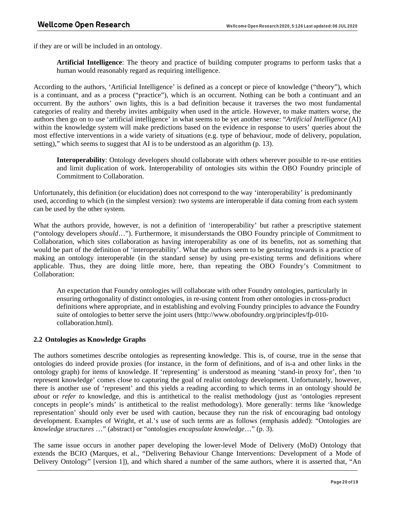if they are or will be included in an ontology.

**Artificial Intelligence**: The theory and practice of building computer programs to perform tasks that a human would reasonably regard as requiring intelligence.

According to the authors, 'Artificial Intelligence' is defined as a concept or piece of knowledge ("theory"), which is a continuant, and as a process ("practice"), which is an occurrent. Nothing can be both a continuant and an occurrent. By the authors' own lights, this is a bad definition because it traverses the two most fundamental categories of reality and thereby invites ambiguity when used in the article. However, to make matters worse, the authors then go on to use 'artificial intelligence' in what seems to be yet another sense: "*Artificial Intelligence* (AI) within the knowledge system will make predictions based on the evidence in response to users' queries about the most effective interventions in a wide variety of situations (e.g. type of behaviour, mode of delivery, population, setting)," which seems to suggest that AI is to be understood as an algorithm (p. 13).

**Interoperability**: Ontology developers should collaborate with others wherever possible to re-use entities and limit duplication of work. Interoperability of ontologies sits within the OBO Foundry principle of Commitment to Collaboration.

Unfortunately, this definition (or elucidation) does not correspond to the way 'interoperability' is predominantly used, according to which (in the simplest version): two systems are interoperable if data coming from each system can be used by the other system.

What the authors provide, however, is not a definition of 'interoperability' but rather a prescriptive statement ("ontology developers *should*…"). Furthermore, it misunderstands the OBO Foundry principle of Commitment to Collaboration, which sites collaboration as having interoperability as one of its benefits, not as something that would be part of the definition of 'interoperability'. What the authors seem to be gesturing towards is a practice of making an ontology interoperable (in the standard sense) by using pre-existing terms and definitions where applicable. Thus, they are doing little more, here, than repeating the OBO Foundry's Commitment to Collaboration:

An expectation that Foundry ontologies will collaborate with other Foundry ontologies, particularly in ensuring orthogonality of distinct ontologies, in re-using content from other ontologies in cross-product definitions where appropriate, and in establishing and evolving Foundry principles to advance the Foundry suite of ontologies to better serve the joint users (http://www.obofoundry.org/principles/fp-010 collaboration.html).

#### **2.2 Ontologies as Knowledge Graphs**

The authors sometimes describe ontologies as representing knowledge. This is, of course, true in the sense that ontologies do indeed provide proxies (for instance, in the form of definitions, and of is-a and other links in the ontology graph) for items of knowledge. If 'representing' is understood as meaning 'stand-in proxy for', then 'to represent knowledge' comes close to capturing the goal of realist ontology development. Unfortunately, however, there is another use of 'represent' and this yields a reading according to which terms in an ontology should *be about* or *refer to* knowledge, and this is antithetical to the realist methodology (just as 'ontologies represent concepts in people's minds' is antithetical to the realist methodology). More generally: terms like 'knowledge representation' should only ever be used with caution, because they run the risk of encouraging bad ontology development. Examples of Wright, et al.'s use of such terms are as follows (emphasis added): "Ontologies are *knowledge structures* …" (abstract) or "ontologies *encapsulate knowledge*…" (p. 3).

The same issue occurs in another paper developing the lower-level Mode of Delivery (MoD) Ontology that extends the BCIO (Marques, et al., "Delivering Behaviour Change Interventions: Development of a Mode of Delivery Ontology" [version 1]), and which shared a number of the same authors, where it is asserted that, "An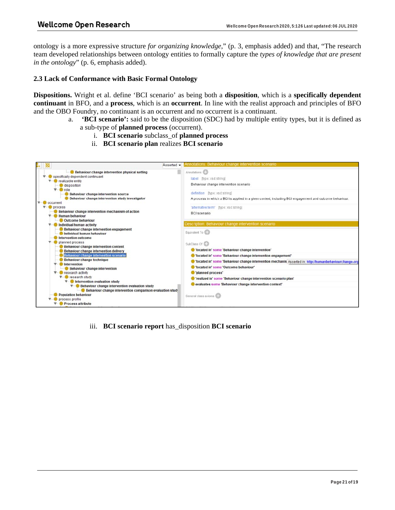ontology is a more expressive structure *for organizing knowledge*," (p. 3, emphasis added) and that, "The research team developed relationships between ontology entities to formally capture the *types of knowledge that are present in the ontology*" (p. 6, emphasis added).

#### **2.3 Lack of Conformance with Basic Formal Ontology**

**Dispositions.** Wright et al. define 'BCI scenario' as being both a **disposition**, which is a **specifically dependent continuant** in BFO, and a **process**, which is an **occurrent**. In line with the realist approach and principles of BFO and the OBO Foundry, no continuant is an occurrent and no occurrent is a continuant.

- a. **'BCI scenario':** said to be the disposition (SDC) had by multiple entity types, but it is defined as a sub-type of **planned process** (occurrent).
	- i. **BCI scenario** subclass\_of **planned process**
	- ii. **BCI scenario plan** realizes **BCI scenario**



iii. **BCI scenario report** has\_disposition **BCI scenario**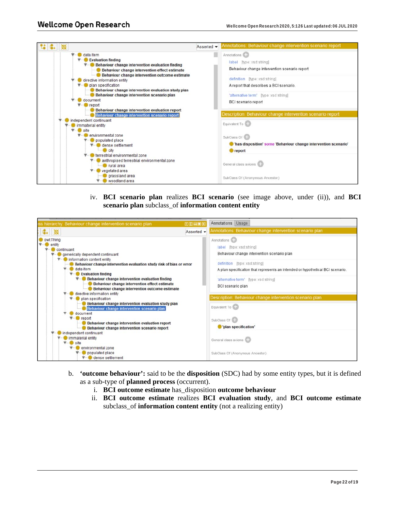

iv. **BCI scenario plan** realizes **BCI scenario** (see image above, under (ii)), and **BCI scenario plan** subclass\_of **information content entity**

| ss hierarchy. Behaviour change intervention scenario plan                                                                                                                                                                                                                                                                                                                                                                                                                                                                                                                                                                                                                                                                                                                                      | 图田目图图      | Annotations Usage                                                                                                                                                                                                                                                                        |
|------------------------------------------------------------------------------------------------------------------------------------------------------------------------------------------------------------------------------------------------------------------------------------------------------------------------------------------------------------------------------------------------------------------------------------------------------------------------------------------------------------------------------------------------------------------------------------------------------------------------------------------------------------------------------------------------------------------------------------------------------------------------------------------------|------------|------------------------------------------------------------------------------------------------------------------------------------------------------------------------------------------------------------------------------------------------------------------------------------------|
|                                                                                                                                                                                                                                                                                                                                                                                                                                                                                                                                                                                                                                                                                                                                                                                                | Asserted - | Annotations: Behaviour change intervention scenario plan                                                                                                                                                                                                                                 |
| owl:Thing<br>entity<br>continuant<br>generically dependent continuant<br>information content entity<br>Behaviour change intervention evaluation study risk of bias or error<br>$\nabla$ data item<br>$V -$ Evaluation finding<br>Behaviour change intervention evaluation finding<br>Behaviour change intervention effect estimate<br>Behaviour change intervention outcome estimate<br>directive information entity<br>plan specification<br>Behaviour change intervention evaluation study plan<br>Behaviour change intervention scenario plan<br>document<br>report<br>Behaviour change intervention evaluation report<br>Behaviour change intervention scenario report<br>independent continuant<br>immaterial entity<br>site<br>environmental zone<br>populated place<br>dense settlement |            | Annotations <b>CD</b><br>label [type: xsd:string]<br>Behaviour change intervention scenario plan<br>definition [type: xsd:string]<br>A plan specification that represents an intended or hypothetical BCI scenario.<br>'alternative term' [type: xsd:string]<br><b>BCI</b> scenario plan |
|                                                                                                                                                                                                                                                                                                                                                                                                                                                                                                                                                                                                                                                                                                                                                                                                |            | Description: Behaviour change intervention scenario plan<br>Equivalent To CD<br>SubClass Of CD<br>"plan specification"<br>General class axioms CD<br>SubClass Of (Anonymous Ancestor)                                                                                                    |

- b. **'outcome behaviour':** said to be the **disposition** (SDC) had by some entity types, but it is defined as a sub-type of **planned process** (occurrent).
	- i. **BCI outcome estimate** has\_disposition **outcome behaviour**
	- ii. **BCI outcome estimate** realizes **BCI evaluation study**, and **BCI outcome estimate**  subclass\_of **information content entity** (not a realizing entity)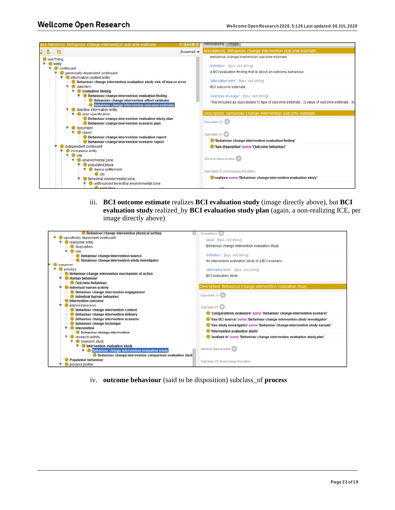

iii. **BCI outcome estimate realizes <b>BCI evaluation study** (image directly above), but **BCI evaluation study** realized\_by **BCI evaluation study plan** (again, a non-realizing ICE, per image directly above)

| specifically dependent continuant                         | label (type: xsd:string)                                                   |
|-----------------------------------------------------------|----------------------------------------------------------------------------|
| realizable entity                                         |                                                                            |
| disposition                                               | Behaviour change intervention evaluation study                             |
| role                                                      |                                                                            |
| Behaviour change intervention source                      | definition [type: xsd:string]                                              |
| Behaviour change intervention study investigator          | An intervention evaluation study of a BCI scenario.                        |
| occurrent                                                 |                                                                            |
| process                                                   | 'alternative term' [type: xsd:string]                                      |
| Behaviour change intervention mechanism of action         | <b>BCI</b> evaluation study                                                |
| <b>Human behaviour</b>                                    |                                                                            |
| Outcome behaviour                                         |                                                                            |
| Individual human activity                                 | Description: Behaviour change intervention evaluation study                |
| Behaviour change intervention engagement                  | Equivalent To CD                                                           |
| Individual human behaviour                                |                                                                            |
| Intervention outcome                                      |                                                                            |
| planned process<br>Behaviour change intervention content  | SubClass Of CD                                                             |
| Behaviour change intervention delivery                    | Comparatively evaluates' some 'Behaviour change intervention scenario'     |
| Behaviour change intervention scenario                    | Thas BCI source' some 'Behaviour change intervention study investigator'   |
| Behaviour change technique                                |                                                                            |
| <b>Intervention</b>                                       | "has study investigator' some 'Behaviour change intervention study sample' |
| Behaviour change intervention                             | 'Intervention evaluation study'                                            |
| research activity<br>$\Psi -$                             | 'realized in' some 'Behaviour change intervention evaluation study plan'   |
| research study                                            |                                                                            |
| Intervention evaluation study                             |                                                                            |
| Behaviour change intervention evaluation study            | General class axioms CD                                                    |
| Behaviour change intervention comparison evaluation study |                                                                            |
| <b>Population behaviour</b>                               | SubClass Of (Anonymous Ancestor)                                           |
| process profile                                           |                                                                            |

iv. **outcome behaviour** (said to be disposition) subclass\_of **process**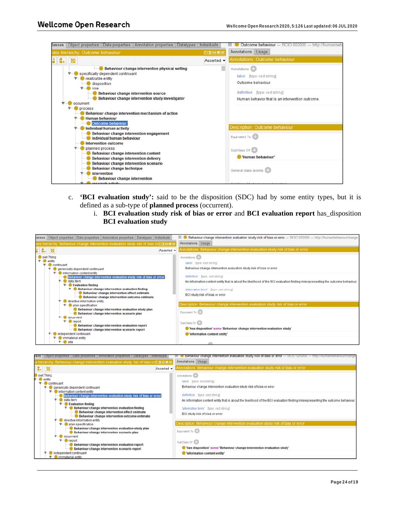

- c. **'BCI evaluation study':** said to be the disposition (SDC) had by some entity types, but it is defined as a sub-type of **planned process** (occurrent).
	- i. **BCI evaluation study risk of bias or error** and **BCI evaluation report** has\_disposition **BCI evaluation study**

| asses Object properties Data properties Annotation properties Datatypes Individuals<br>iss hierarchy: Behaviour change intervention evaluation study risk of bias or凹田田国8<br>$\mathbb{C}$ .<br>Asserted -                                                                                                                                                                                                                                                                                                                                                                                                                                                                                                                                                                              | Behaviour change intervention evaluation study risk of bias or error - BCIO:020000 - http://humanbehaviourchange.<br>≡<br>Annotations Usage<br>Annotations: Behaviour change intervention evaluation study risk of bias or error             |
|----------------------------------------------------------------------------------------------------------------------------------------------------------------------------------------------------------------------------------------------------------------------------------------------------------------------------------------------------------------------------------------------------------------------------------------------------------------------------------------------------------------------------------------------------------------------------------------------------------------------------------------------------------------------------------------------------------------------------------------------------------------------------------------|----------------------------------------------------------------------------------------------------------------------------------------------------------------------------------------------------------------------------------------------|
| owl:Thing<br>$\overline{\mathbf{v}}$ entity<br>continuant<br>generically dependent continuant<br><b>V-C</b> information content entity<br>Behaviour change intervention evaluation study risk of bias or error<br>data item<br><b>Evaluation finding</b><br>Behaviour change intervention evaluation finding<br>Behaviour change intervention effect estimate<br>Behaviour change intervention outcome estimate<br>directive information entity<br>$\nabla$ plan specification<br>Behaviour change intervention evaluation study plan<br>Behaviour change intervention scenario plan<br>document<br>- <b>O</b> report<br>Behaviour change intervention evaluation report<br>Behaviour change intervention scenario report<br>independent continuant<br>immaterial entity<br>$V -$ Site | Annotations (CD)<br>label [type: xsd:string]<br>Behaviour change intervention evaluation study risk of bias or error                                                                                                                         |
|                                                                                                                                                                                                                                                                                                                                                                                                                                                                                                                                                                                                                                                                                                                                                                                        | definition [type: xsd:string]<br>An information content entity that is about the likelihood of the BCI evaluation finding misrepresenting the outcome behaviour.<br>'alternative term' [type: xsd:string]<br>BCI study risk of bias or error |
|                                                                                                                                                                                                                                                                                                                                                                                                                                                                                                                                                                                                                                                                                                                                                                                        | Description: Behaviour change intervention evaluation study risk of bias or error<br>Equivalent To CD                                                                                                                                        |
|                                                                                                                                                                                                                                                                                                                                                                                                                                                                                                                                                                                                                                                                                                                                                                                        | SubClass Of CD<br>"has disposition' some 'Behaviour change intervention evaluation study'<br>information content entity'                                                                                                                     |

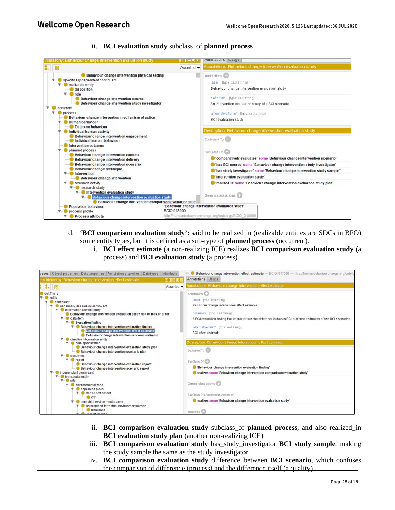ii. **BCI evaluation study** subclass\_of **planned process**



- d. **'BCI comparison evaluation study':** said to be realized in (realizable entities are SDCs in BFO) some entity types, but it is defined as a sub-type of **planned process** (occurrent).
	- i. **BCI effect estimate** (a non-realizing ICE) realizes **BCI comparison evaluation study** (a process) and **BCI evaluation study** (a process)



- ii. **BCI comparison evaluation study** subclass\_of **planned process**, and also realized\_in **BCI evaluation study plan** (another non-realizing ICE)
- iii. **BCI comparison evaluation study** has\_study\_investigator **BCI study sample**, making the study sample the same as the study investigator
- iv. **BCI comparison evaluation study** difference\_between **BCI scenario**, which confuses the comparison of difference (process) and the difference itself (a quality)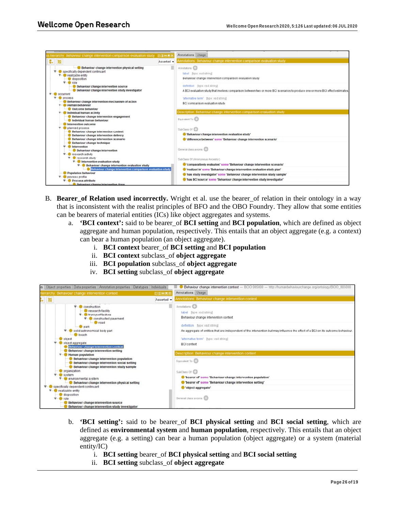

- B. **Bearer\_of Relation used incorrectly.** Wright et al. use the bearer\_of relation in their ontology in a way that is inconsistent with the realist principles of BFO and the OBO Foundry. They allow that some entities can be bearers of material entities (ICs) like object aggregates and systems.
	- a. **'BCI context':** said to be bearer\_of **BCI setting** and **BCI population**, which are defined as object aggregate and human population, respectively. This entails that an object aggregate (e.g. a context) can bear a human population (an object aggregate).
		- i. **BCI context** bearer\_of **BCI setting** and **BCI population**
		- ii. **BCI context** subclass\_of **object aggregate**
		- iii. **BCI population** subclass\_of **object aggregate**
		- iv. **BCI setting** subclass\_of **object aggregate**

| es Object properties Data properties Annotation properties Datatypes<br>Individuals                                                                                                                                                                                                                                                                                                                                                                                                                                                                                                                                                                                                                                                                                                        |            | Behaviour change intervention context - BCIO:005000 - http://humanbehaviourchange.org/ontology/BCIO 005000                                                                                                                                                                                                                                                                                                                                                                                                                                                                                     |  |
|--------------------------------------------------------------------------------------------------------------------------------------------------------------------------------------------------------------------------------------------------------------------------------------------------------------------------------------------------------------------------------------------------------------------------------------------------------------------------------------------------------------------------------------------------------------------------------------------------------------------------------------------------------------------------------------------------------------------------------------------------------------------------------------------|------------|------------------------------------------------------------------------------------------------------------------------------------------------------------------------------------------------------------------------------------------------------------------------------------------------------------------------------------------------------------------------------------------------------------------------------------------------------------------------------------------------------------------------------------------------------------------------------------------------|--|
| nierarchy. Behaviour change intervention context                                                                                                                                                                                                                                                                                                                                                                                                                                                                                                                                                                                                                                                                                                                                           | 南田田園園      | Annotations Usage                                                                                                                                                                                                                                                                                                                                                                                                                                                                                                                                                                              |  |
| $\mathbb{R}$ $\mathbb{R}$                                                                                                                                                                                                                                                                                                                                                                                                                                                                                                                                                                                                                                                                                                                                                                  | Asserted - | unotations. Behaviour change intervention context                                                                                                                                                                                                                                                                                                                                                                                                                                                                                                                                              |  |
| construction<br>research facility<br><b>V</b> -C transport feature<br><b>V-Constructed pavement</b><br><b>O</b> road<br>- <b>Dark</b><br>solid astronomical body part<br><b>beach</b><br><b>O</b> object<br>object aggregate<br><b>Behaviour change intervention context</b><br>Behaviour change intervention setting<br><b>Human population</b><br>Behaviour change intervention population<br>Behaviour change intervention social setting<br>Behaviour change intervention study sample<br>organization<br>system<br>▼ environmental system<br>Behaviour change intervention physical setting<br>specifically dependent continuant<br>realizable entity<br>disposition<br>role <sup>1</sup><br>Behaviour change intervention source<br>Behaviour change intervention study investigator |            | Annotations (CD)<br>label livne: xsd:string)<br>Behaviour change intervention context<br>definition [type: xsd:string]<br>An aggregate of entities that are independent of the intervention but may influence the effect of a BCI on its outcome behaviour<br>'alternative term' (type: xsd:string)<br><b>BCI</b> context<br>Description: Behaviour change intervention context<br>Equivalent To CD<br>SubClass Of CD<br>bearer of some 'Behaviour change intervention population'<br>bearer of' some 'Behaviour change intervention setting'<br>Cobject aggregate'<br>General class axioms CD |  |

- b. **'BCI setting':** said to be bearer\_of **BCI physical setting** and **BCI social setting**, which are defined as **environmental system** and **human population**, respectively. This entails that an object aggregate (e.g. a setting) can bear a human population (object aggregate) or a system (material entity/IC)
	- i. **BCI setting** bearer\_of **BCI physical setting** and **BCI social setting**
	- ii. **BCI setting** subclass\_of **object aggregate**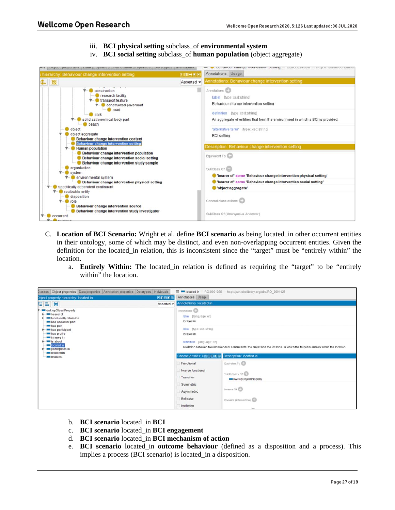- iii. **BCI physical setting** subclass\_of **environmental system**
- iv. **BCI social setting** subclass\_of **human population** (object aggregate)



- C. **Location of BCI Scenario:** Wright et al. define **BCI scenario** as being located\_in other occurrent entities in their ontology, some of which may be distinct, and even non-overlapping occurrent entities. Given the definition for the located\_in relation, this is inconsistent since the "target" must be "entirely within" the location.
	- a. **Entirely Within:** The located in relation is defined as requiring the "target" to be "entirely within" the location.



- b. **BCI scenario** located\_in **BCI**
- c. **BCI scenario** located\_in **BCI engagement**
- d. **BCI scenario** located\_in **BCI mechanism of action**
- e. **BCI scenario** located\_in **outcome behaviour** (defined as a disposition and a process). This implies a process (BCI scenario) is located\_in a disposition.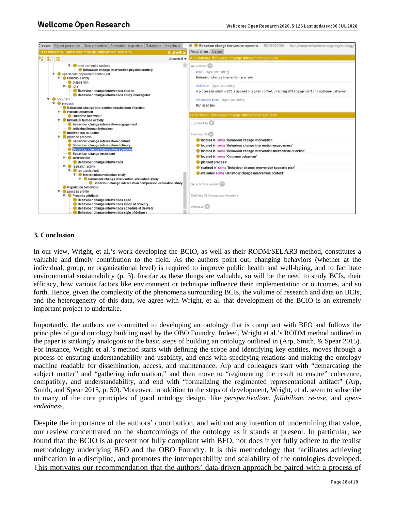

#### **3. Conclusion**

In our view, Wright, et al.'s work developing the BCIO, as well as their RODM/SELAR3 method, constitutes a valuable and timely contribution to the field. As the authors point out, changing behaviors (whether at the individual, group, or organizational level) is required to improve public health and well-being, and to facilitate environmental sustainability (p. 3). Insofar as these things are valuable, so will be the need to study BCIs, their efficacy, how various factors like environment or technique influence their implementation or outcomes, and so forth. Hence, given the complexity of the phenomena surrounding BCIs, the volume of research and data on BCIs, and the heterogeneity of this data, we agree with Wright, et al. that development of the BCIO is an extremely important project to undertake.

Importantly, the authors are committed to developing an ontology that is compliant with BFO and follows the principles of good ontology building used by the OBO Foundry. Indeed, Wright et al.'s RODM method outlined in the paper is strikingly analogous to the basic steps of building an ontology outlined in (Arp, Smith, & Spear 2015). For instance, Wright et al.'s method starts with defining the scope and identifying key entities, moves through a process of ensuring understandability and usability, and ends with specifying relations and making the ontology machine readable for dissemination, access, and maintenance. Arp and colleagues start with "demarcating the subject matter" and "gathering information," and then move to "regimenting the result to ensure" coherence, compatibly, and understandability, and end with "formalizing the regimented representational artifact" (Arp, Smith, and Spear 2015, p. 50). Moreover, in addition to the steps of development, Wright, et al. seem to subscribe to many of the core principles of good ontology design, like *perspectivalism*, *fallibilism*, *re-use*, and *openendedness*.

Despite the importance of the authors' contribution, and without any intention of undermining that value, our review concentrated on the shortcomings of the ontology as it stands at present. In particular, we found that the BCIO is at present not fully compliant with BFO, nor does it yet fully adhere to the realist methodology underlying BFO and the OBO Foundry. It is this methodology that facilitates achieving unification in a discipline, and promotes the interoperability and scalability of the ontologies developed. This motivates our recommendation that the authors' data-driven approach be paired with a process of